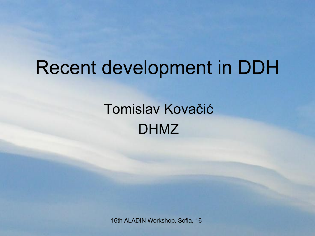#### Recent development in DDH

#### Tomislav Kovačić DHMZ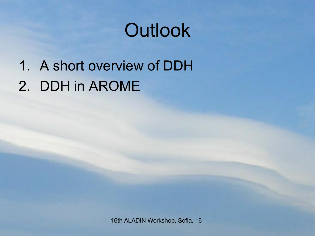## **Outlook**

1. A short overview of DDH 2. DDH in AROME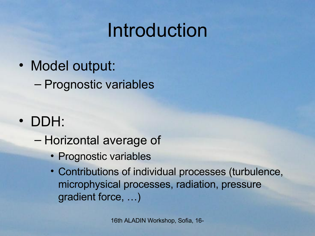### Introduction

• Model output:

– Prognostic variables

- DDH:
	- Horizontal average of
		- Prognostic variables
		- Contributions of individual processes (turbulence, microphysical processes, radiation, pressure gradient force, …)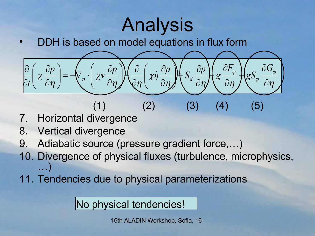## Analysis

• DDH is based on model equations in flux form



- 7. Horizontal divergence
- 8. Vertical divergence
- 9. Adiabatic source (pressure gradient force,…)
- 10. Divergence of physical fluxes (turbulence, microphysics, …)
- 11. Tendencies due to physical parameterizations

No physical tendencies!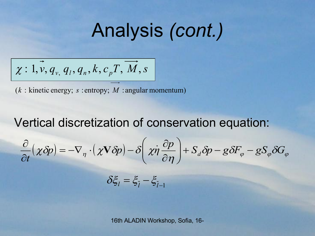#### Analysis *(cont.)*

$$
\chi: 1, v, q_{v, q_l}, q_n, k, c_p T, M, s
$$

 $(k:$  kinetic energy; s: entropy; M: angular momentum)

#### Vertical discretization of conservation equation:

$$
\frac{\partial}{\partial t}(\chi \delta p) = -\nabla_{\eta} \cdot (\chi \mathbf{V} \delta p) - \delta \left( \chi \dot{\eta} \frac{\partial p}{\partial \eta} \right) + S_d \delta p - g \delta F_{\varphi} - g S_{\varphi} \delta G_{\varphi}
$$

 $\delta \xi_{l} = \xi_{\bar{l}} - \xi_{\bar{l}-1}$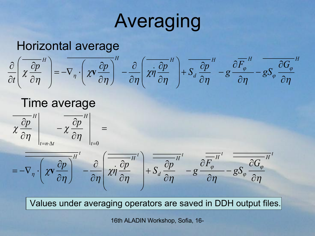## Averaging

#### Horizontal average

$$
\frac{\partial}{\partial t}\left(\chi \frac{\partial p}{\partial \eta}^{H}\right) = -\nabla_{\eta} \cdot \left(\chi \nabla \frac{\partial p}{\partial \eta}\right)^{H} - \frac{\partial}{\partial \eta}\left(\chi \dot{\eta} \frac{\partial p}{\partial \eta}^{H}\right) + S_{d} \frac{\partial p}{\partial \eta}^{H} - g \frac{\partial \overline{F_{\varphi}}^{H}}{\partial \eta} - g S_{\varphi} \frac{\partial \overline{G_{\varphi}}^{H}}{\partial \eta}
$$

#### Time average

*t H*  $\left| \begin{array}{cc} H & \longrightarrow H \end{array} \right|$  $t = n \cdot \Delta t$ *p d p d d p d p d p d p d p d p d p d n d n d n d n d n d n d n d n d n d n d n d n d n d n d n d n d n d n d n*  $\eta$  $\chi$  $\eta$  $\chi \frac{\partial P}{\partial}$   $-\chi \frac{\partial P}{\partial}$  =  $\partial$  $\partial$  $\overline{\phantom{0}}$  $\partial$  $\widehat{O}$  $=n \cdot \Delta t$   $|_t=$ 0



Values under averaging operators are saved in DDH output files.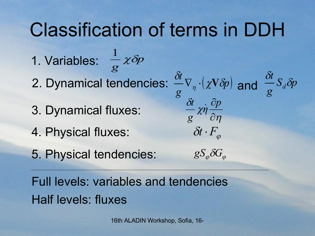#### Classification of terms in DDH

- *p g*  $\chi \delta\!$ 1 1. Variables: 2. Dynamical tendencies:
- 3. Dynamical fluxes:
- 4. Physical fluxes:
- 5. Physical tendencies:

 $\chi V \delta p$ *g t*  $\chi{\rm V}\delta\hspace{-3pt}/_{\,}$  $\delta$ i  $\nabla_{\eta} \cdot (\chi \mathbf{V} \delta p)$  and  $\frac{\partial}{\partial \eta} S_d \delta p$ *g t d*  $\delta$ i  $\delta$ i  $\eta$  $\chi$  $\delta$ i  $\partial$  $\partial p$ *η g t*  $\dot{\eta}$  $\delta t \cdot F_{\varphi}$ 

 $gS_{\varphi}\delta G_{\varphi}$ 

Full levels: variables and tendencies Half levels: fluxes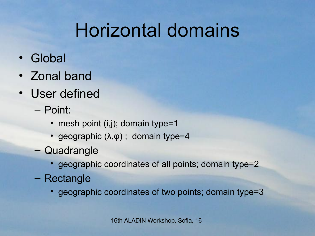## Horizontal domains

- Global
- Zonal band
- User defined
	- Point:
		- mesh point (i,j); domain type=1
		- geographic  $(\lambda, \phi)$ ; domain type=4
	- Quadrangle
		- geographic coordinates of all points; domain type=2
	- Rectangle
		- geographic coordinates of two points; domain type=3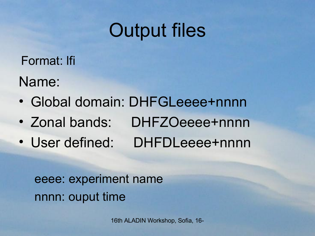#### Output files

Name: Format: lfi

- Global domain: DHFGLeeee+nnnn
- Zonal bands: DHFZOeeee+nnnn
- User defined: DHFDLeeee+nnnn

eeee: experiment name nnnn: ouput time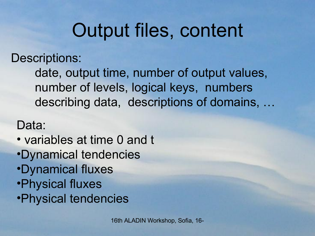### Output files, content

Descriptions:

date, output time, number of output values, number of levels, logical keys, numbers describing data, descriptions of domains, …

Data:

- variables at time 0 and t
- •Dynamical tendencies
- •Dynamical fluxes
- •Physical fluxes
- •Physical tendencies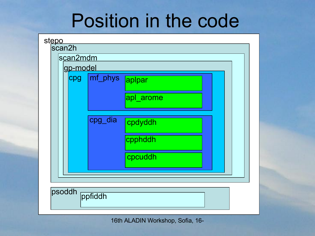#### Position in the code

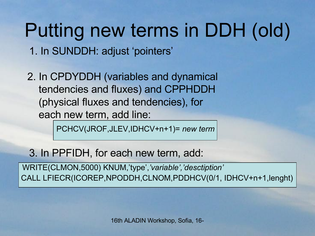# Putting new terms in DDH (old)

1. In SUNDDH: adjust 'pointers'

2. In CPDYDDH (variables and dynamical tendencies and fluxes) and CPPHDDH (physical fluxes and tendencies), for each new term, add line:

PCHCV(JROF,JLEV,IDHCV+n+1)= *new term*

3. In PPFIDH, for each new term, add:

WRITE(CLMON,5000) KNUM,'type',*'variable','desctiption'* CALL LFIECR(ICOREP,NPODDH,CLNOM,PDDHCV(0/1, IDHCV+n+1,lenght)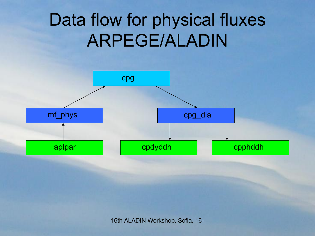#### Data flow for physical fluxes ARPEGE/ALADIN

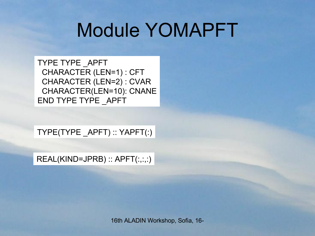#### Module YOMAPFT

TYPE TYPE \_APFT CHARACTER (LEN=1) : CFT CHARACTER (LEN=2) : CVAR CHARACTER(LEN=10): CNANE END TYPE TYPE \_APFT

TYPE(TYPE \_APFT) :: YAPFT(:)

REAL(KIND=JPRB) :: APFT(:,:,:)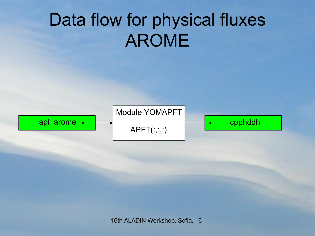#### Data flow for physical fluxes AROME

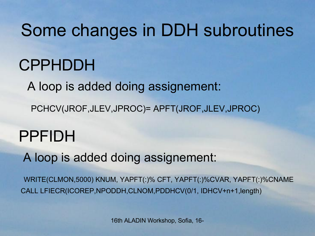Some changes in DDH subroutines

CPPHDDH

A loop is added doing assignement:

PCHCV(JROF,JLEV,JPROC)= APFT(JROF,JLEV,JPROC)

#### PPFIDH

A loop is added doing assignement:

WRITE(CLMON,5000) KNUM, YAPFT(:)% CFT, YAPFT(:)%CVAR, YAPFT(:)%CNAME CALL LFIECR(ICOREP,NPODDH,CLNOM,PDDHCV(0/1, IDHCV+n+1,length)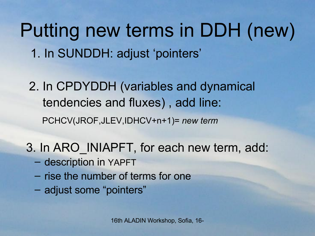1. In SUNDDH: adjust 'pointers' Putting new terms in DDH (new)

2. In CPDYDDH (variables and dynamical tendencies and fluxes) , add line: PCHCV(JROF,JLEV,IDHCV+n+1)= *new term*

- 3. In ARO\_INIAPFT, for each new term, add:
	- description in YAPFT
	- rise the number of terms for one
	- adjust some "pointers"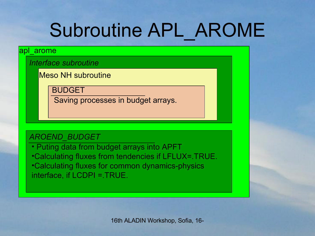# Subroutine APL\_AROME

#### apl\_arome

*Interface subroutine*

Meso NH subroutine

BUDGET

Saving processes in budget arrays.

#### *AROEND\_BUDGET*

• Puting data from budget arrays into APFT •Calculating fluxes from tendencies if LFLUX=.TRUE. •Calculating fluxes for common dynamics-physics interface, if LCDPI =.TRUE.